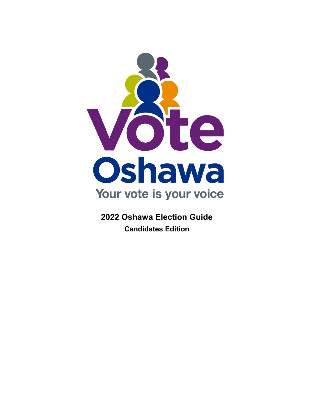<span id="page-0-0"></span>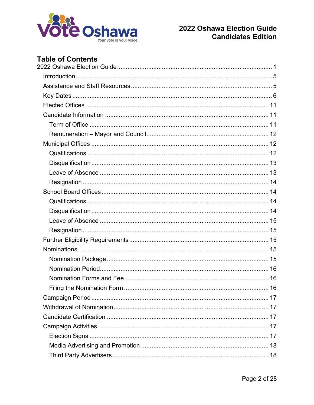

# **Table of Contents**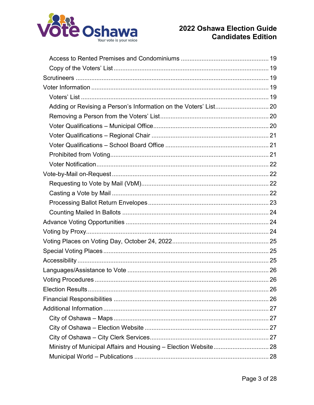

| Ministry of Municipal Affairs and Housing - Election Website 28 |  |
|-----------------------------------------------------------------|--|
|                                                                 |  |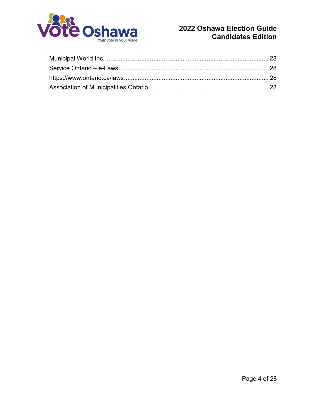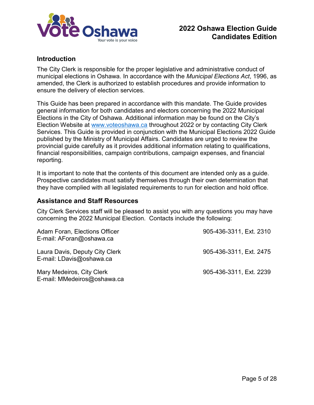

## <span id="page-4-0"></span>**Introduction**

The City Clerk is responsible for the proper legislative and administrative conduct of municipal elections in Oshawa. In accordance with the *Municipal Elections Act*, 1996, as amended, the Clerk is authorized to establish procedures and provide information to ensure the delivery of election services.

This Guide has been prepared in accordance with this mandate. The Guide provides general information for both candidates and electors concerning the 2022 Municipal Elections in the City of Oshawa. Additional information may be found on the City's Election Website at [www.voteoshawa.ca](file://vsfileb/clerksadmin/A-2140%20Elections/2018%20Municipal%20Election/Candidate%20Information%20Package/www.voteoshawa.ca) throughout 2022 or by contacting City Clerk Services. This Guide is provided in conjunction with the Municipal Elections 2022 Guide published by the Ministry of Municipal Affairs. Candidates are urged to review the provincial guide carefully as it provides additional information relating to qualifications, financial responsibilities, campaign contributions, campaign expenses, and financial reporting.

It is important to note that the contents of this document are intended only as a guide. Prospective candidates must satisfy themselves through their own determination that they have complied with all legislated requirements to run for election and hold office.

## <span id="page-4-1"></span>**Assistance and Staff Resources**

City Clerk Services staff will be pleased to assist you with any questions you may have concerning the 2022 Municipal Election. Contacts include the following:

| Adam Foran, Elections Officer<br>E-mail: AForan@oshawa.ca  | 905-436-3311, Ext. 2310 |
|------------------------------------------------------------|-------------------------|
| Laura Davis, Deputy City Clerk<br>E-mail: LDavis@oshawa.ca | 905-436-3311, Ext. 2475 |
| Mary Medeiros, City Clerk<br>E-mail: MMedeiros@oshawa.ca   | 905-436-3311, Ext. 2239 |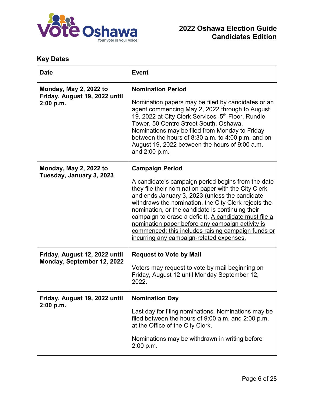

# <span id="page-5-0"></span>**Key Dates**

| <b>Date</b>                                             | <b>Event</b>                                                                                                                                                                                                                                                                                                                                                                                                                                                                            |  |
|---------------------------------------------------------|-----------------------------------------------------------------------------------------------------------------------------------------------------------------------------------------------------------------------------------------------------------------------------------------------------------------------------------------------------------------------------------------------------------------------------------------------------------------------------------------|--|
| Monday, May 2, 2022 to<br>Friday, August 19, 2022 until | <b>Nomination Period</b>                                                                                                                                                                                                                                                                                                                                                                                                                                                                |  |
| 2:00 p.m.                                               | Nomination papers may be filed by candidates or an<br>agent commencing May 2, 2022 through to August<br>19, 2022 at City Clerk Services, 5 <sup>th</sup> Floor, Rundle<br>Tower, 50 Centre Street South, Oshawa.<br>Nominations may be filed from Monday to Friday<br>between the hours of 8:30 a.m. to 4:00 p.m. and on<br>August 19, 2022 between the hours of 9:00 a.m.<br>and 2:00 p.m.                                                                                             |  |
| <b>Monday, May 2, 2022 to</b>                           | <b>Campaign Period</b>                                                                                                                                                                                                                                                                                                                                                                                                                                                                  |  |
| Tuesday, January 3, 2023                                | A candidate's campaign period begins from the date<br>they file their nomination paper with the City Clerk<br>and ends January 3, 2023 (unless the candidate<br>withdraws the nomination, the City Clerk rejects the<br>nomination, or the candidate is continuing their<br>campaign to erase a deficit). A candidate must file a<br>nomination paper before any campaign activity is<br>commenced; this includes raising campaign funds or<br>incurring any campaign-related expenses. |  |
| Friday, August 12, 2022 until                           | <b>Request to Vote by Mail</b>                                                                                                                                                                                                                                                                                                                                                                                                                                                          |  |
| Monday, September 12, 2022                              | Voters may request to vote by mail beginning on<br>Friday, August 12 until Monday September 12,<br>2022.                                                                                                                                                                                                                                                                                                                                                                                |  |
| Friday, August 19, 2022 until<br>2:00 p.m.              | <b>Nomination Day</b>                                                                                                                                                                                                                                                                                                                                                                                                                                                                   |  |
|                                                         | Last day for filing nominations. Nominations may be<br>filed between the hours of 9:00 a.m. and 2:00 p.m.<br>at the Office of the City Clerk.                                                                                                                                                                                                                                                                                                                                           |  |
|                                                         | Nominations may be withdrawn in writing before<br>2:00 p.m.                                                                                                                                                                                                                                                                                                                                                                                                                             |  |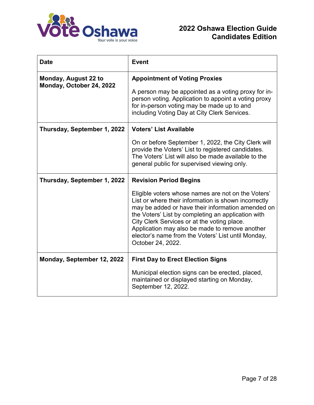

| <b>Date</b>                                      | <b>Event</b>                                                                                                                                                                                                                                                                                                                                                                                      |  |
|--------------------------------------------------|---------------------------------------------------------------------------------------------------------------------------------------------------------------------------------------------------------------------------------------------------------------------------------------------------------------------------------------------------------------------------------------------------|--|
| Monday, August 22 to<br>Monday, October 24, 2022 | <b>Appointment of Voting Proxies</b><br>A person may be appointed as a voting proxy for in-                                                                                                                                                                                                                                                                                                       |  |
|                                                  | person voting. Application to appoint a voting proxy<br>for in-person voting may be made up to and<br>including Voting Day at City Clerk Services.                                                                                                                                                                                                                                                |  |
| Thursday, September 1, 2022                      | <b>Voters' List Available</b>                                                                                                                                                                                                                                                                                                                                                                     |  |
|                                                  | On or before September 1, 2022, the City Clerk will<br>provide the Voters' List to registered candidates.<br>The Voters' List will also be made available to the<br>general public for supervised viewing only.                                                                                                                                                                                   |  |
| Thursday, September 1, 2022                      | <b>Revision Period Begins</b>                                                                                                                                                                                                                                                                                                                                                                     |  |
|                                                  | Eligible voters whose names are not on the Voters'<br>List or where their information is shown incorrectly<br>may be added or have their information amended on<br>the Voters' List by completing an application with<br>City Clerk Services or at the voting place.<br>Application may also be made to remove another<br>elector's name from the Voters' List until Monday,<br>October 24, 2022. |  |
| Monday, September 12, 2022                       | <b>First Day to Erect Election Signs</b>                                                                                                                                                                                                                                                                                                                                                          |  |
|                                                  | Municipal election signs can be erected, placed,<br>maintained or displayed starting on Monday,<br>September 12, 2022.                                                                                                                                                                                                                                                                            |  |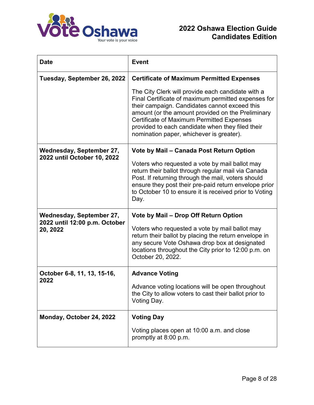

| <b>Date</b>                               | <b>Event</b>                                                                                                                                                                                                                                                                                                                                                       |  |
|-------------------------------------------|--------------------------------------------------------------------------------------------------------------------------------------------------------------------------------------------------------------------------------------------------------------------------------------------------------------------------------------------------------------------|--|
| Tuesday, September 26, 2022               | <b>Certificate of Maximum Permitted Expenses</b>                                                                                                                                                                                                                                                                                                                   |  |
|                                           | The City Clerk will provide each candidate with a<br>Final Certificate of maximum permitted expenses for<br>their campaign. Candidates cannot exceed this<br>amount (or the amount provided on the Preliminary<br><b>Certificate of Maximum Permitted Expenses</b><br>provided to each candidate when they filed their<br>nomination paper, whichever is greater). |  |
| Wednesday, September 27,                  | Vote by Mail – Canada Post Return Option                                                                                                                                                                                                                                                                                                                           |  |
| 2022 until October 10, 2022               | Voters who requested a vote by mail ballot may<br>return their ballot through regular mail via Canada<br>Post. If returning through the mail, voters should<br>ensure they post their pre-paid return envelope prior<br>to October 10 to ensure it is received prior to Voting<br>Day.                                                                             |  |
| Wednesday, September 27,                  | Vote by Mail - Drop Off Return Option                                                                                                                                                                                                                                                                                                                              |  |
| 2022 until 12:00 p.m. October<br>20, 2022 | Voters who requested a vote by mail ballot may<br>return their ballot by placing the return envelope in<br>any secure Vote Oshawa drop box at designated<br>locations throughout the City prior to 12:00 p.m. on<br>October 20, 2022.                                                                                                                              |  |
| October 6-8, 11, 13, 15-16,               | <b>Advance Voting</b>                                                                                                                                                                                                                                                                                                                                              |  |
| 2022                                      | Advance voting locations will be open throughout<br>the City to allow voters to cast their ballot prior to<br>Voting Day.                                                                                                                                                                                                                                          |  |
| Monday, October 24, 2022                  | <b>Voting Day</b>                                                                                                                                                                                                                                                                                                                                                  |  |
|                                           | Voting places open at 10:00 a.m. and close<br>promptly at 8:00 p.m.                                                                                                                                                                                                                                                                                                |  |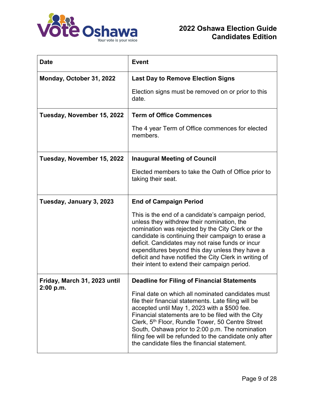

| <b>Date</b>                               | <b>Event</b>                                                                                                                                                                                                                                                                                                                                                                                                                                  |  |
|-------------------------------------------|-----------------------------------------------------------------------------------------------------------------------------------------------------------------------------------------------------------------------------------------------------------------------------------------------------------------------------------------------------------------------------------------------------------------------------------------------|--|
| Monday, October 31, 2022                  | <b>Last Day to Remove Election Signs</b>                                                                                                                                                                                                                                                                                                                                                                                                      |  |
|                                           | Election signs must be removed on or prior to this<br>date.                                                                                                                                                                                                                                                                                                                                                                                   |  |
| Tuesday, November 15, 2022                | <b>Term of Office Commences</b>                                                                                                                                                                                                                                                                                                                                                                                                               |  |
|                                           | The 4 year Term of Office commences for elected<br>members.                                                                                                                                                                                                                                                                                                                                                                                   |  |
| Tuesday, November 15, 2022                | <b>Inaugural Meeting of Council</b>                                                                                                                                                                                                                                                                                                                                                                                                           |  |
|                                           | Elected members to take the Oath of Office prior to<br>taking their seat.                                                                                                                                                                                                                                                                                                                                                                     |  |
| Tuesday, January 3, 2023                  | <b>End of Campaign Period</b>                                                                                                                                                                                                                                                                                                                                                                                                                 |  |
|                                           | This is the end of a candidate's campaign period,<br>unless they withdrew their nomination, the<br>nomination was rejected by the City Clerk or the<br>candidate is continuing their campaign to erase a<br>deficit. Candidates may not raise funds or incur<br>expenditures beyond this day unless they have a<br>deficit and have notified the City Clerk in writing of<br>their intent to extend their campaign period.                    |  |
| Friday, March 31, 2023 until<br>2:00 p.m. | <b>Deadline for Filing of Financial Statements</b>                                                                                                                                                                                                                                                                                                                                                                                            |  |
|                                           | Final date on which all nominated candidates must<br>file their financial statements. Late filing will be<br>accepted until May 1, 2023 with a \$500 fee.<br>Financial statements are to be filed with the City<br>Clerk, 5 <sup>th</sup> Floor, Rundle Tower, 50 Centre Street<br>South, Oshawa prior to 2:00 p.m. The nomination<br>filing fee will be refunded to the candidate only after<br>the candidate files the financial statement. |  |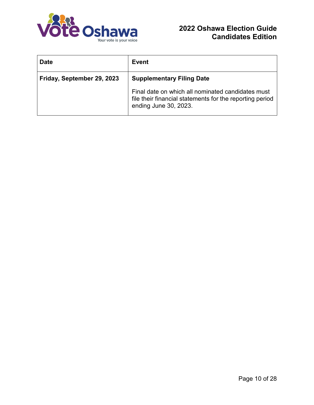

| <b>Date</b>                | Event                                                                                                                                  |  |
|----------------------------|----------------------------------------------------------------------------------------------------------------------------------------|--|
| Friday, September 29, 2023 | <b>Supplementary Filing Date</b>                                                                                                       |  |
|                            | Final date on which all nominated candidates must<br>file their financial statements for the reporting period<br>ending June 30, 2023. |  |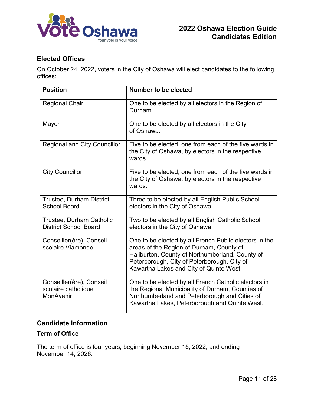

# <span id="page-10-0"></span>**Elected Offices**

On October 24, 2022, voters in the City of Oshawa will elect candidates to the following offices:

| <b>Position</b>                                              | Number to be elected                                                                                                                                                                                                                            |
|--------------------------------------------------------------|-------------------------------------------------------------------------------------------------------------------------------------------------------------------------------------------------------------------------------------------------|
| <b>Regional Chair</b>                                        | One to be elected by all electors in the Region of<br>Durham.                                                                                                                                                                                   |
| Mayor                                                        | One to be elected by all electors in the City<br>of Oshawa.                                                                                                                                                                                     |
| <b>Regional and City Councillor</b>                          | Five to be elected, one from each of the five wards in<br>the City of Oshawa, by electors in the respective<br>wards.                                                                                                                           |
| <b>City Councillor</b>                                       | Five to be elected, one from each of the five wards in<br>the City of Oshawa, by electors in the respective<br>wards.                                                                                                                           |
| <b>Trustee, Durham District</b><br><b>School Board</b>       | Three to be elected by all English Public School<br>electors in the City of Oshawa.                                                                                                                                                             |
| Trustee, Durham Catholic<br><b>District School Board</b>     | Two to be elected by all English Catholic School<br>electors in the City of Oshawa.                                                                                                                                                             |
| Conseiller(ère), Conseil<br>scolaire Viamonde                | One to be elected by all French Public electors in the<br>areas of the Region of Durham, County of<br>Haliburton, County of Northumberland, County of<br>Peterborough, City of Peterborough, City of<br>Kawartha Lakes and City of Quinte West. |
| Conseiller(ère), Conseil<br>scolaire catholique<br>MonAvenir | One to be elected by all French Catholic electors in<br>the Regional Municipality of Durham, Counties of<br>Northumberland and Peterborough and Cities of<br>Kawartha Lakes, Peterborough and Quinte West.                                      |

## <span id="page-10-1"></span>**Candidate Information**

## <span id="page-10-2"></span>**Term of Office**

The term of office is four years, beginning November 15, 2022, and ending November 14, 2026.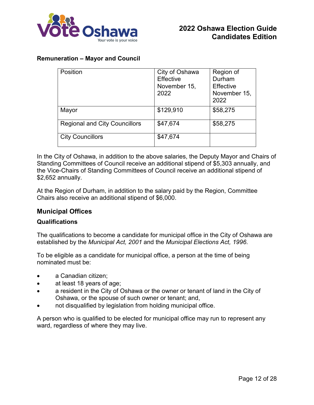

### <span id="page-11-0"></span>**Remuneration – Mayor and Council**

| Position                             | City of Oshawa<br>Effective<br>November 15,<br>2022 | Region of<br>Durham<br><b>Effective</b><br>November 15,<br>2022 |
|--------------------------------------|-----------------------------------------------------|-----------------------------------------------------------------|
| Mayor                                | \$129,910                                           | \$58,275                                                        |
| <b>Regional and City Councillors</b> | \$47,674                                            | \$58,275                                                        |
| <b>City Councillors</b>              | \$47,674                                            |                                                                 |

In the City of Oshawa, in addition to the above salaries, the Deputy Mayor and Chairs of Standing Committees of Council receive an additional stipend of \$5,303 annually, and the Vice-Chairs of Standing Committees of Council receive an additional stipend of \$2,652 annually.

At the Region of Durham, in addition to the salary paid by the Region, Committee Chairs also receive an additional stipend of \$6,000.

### <span id="page-11-1"></span>**Municipal Offices**

### <span id="page-11-2"></span>**Qualifications**

The qualifications to become a candidate for municipal office in the City of Oshawa are established by the *Municipal Act, 2001* and the *Municipal Elections Act, 1996*.

To be eligible as a candidate for municipal office, a person at the time of being nominated must be:

- a Canadian citizen;
- at least 18 years of age;
- a resident in the City of Oshawa or the owner or tenant of land in the City of Oshawa, or the spouse of such owner or tenant; and,
- not disqualified by legislation from holding municipal office.

A person who is qualified to be elected for municipal office may run to represent any ward, regardless of where they may live.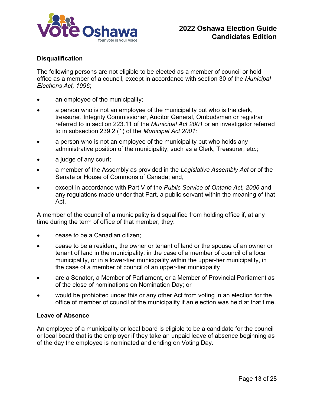

### <span id="page-12-0"></span>**Disqualification**

The following persons are not eligible to be elected as a member of council or hold office as a member of a council, except in accordance with section 30 of the *Municipal Elections Act, 1996*;

- an employee of the municipality;
- a person who is not an employee of the municipality but who is the clerk, treasurer, Integrity Commissioner, Auditor General, Ombudsman or registrar referred to in section 223.11 of the *Municipal Act 2001* or an investigator referred to in subsection 239.2 (1) of the *Municipal Act 2001;*
- a person who is not an employee of the municipality but who holds any administrative position of the municipality, such as a Clerk, Treasurer, etc.;
- a judge of any court;
- a member of the Assembly as provided in the *Legislative Assembly Act* or of the Senate or House of Commons of Canada; and,
- except in accordance with Part V of the Public Service of Ontario Act, 2006 and any regulations made under that Part, a public servant within the meaning of that Act.

A member of the council of a municipality is disqualified from holding office if, at any time during the term of office of that member, they:

- cease to be a Canadian citizen;
- cease to be a resident, the owner or tenant of land or the spouse of an owner or tenant of land in the municipality, in the case of a member of council of a local municipality, or in a lower-tier municipality within the upper-tier municipality, in the case of a member of council of an upper-tier municipality
- are a Senator, a Member of Parliament, or a Member of Provincial Parliament as of the close of nominations on Nomination Day; or
- would be prohibited under this or any other Act from voting in an election for the office of member of council of the municipality if an election was held at that time.

#### <span id="page-12-1"></span>**Leave of Absence**

An employee of a municipality or local board is eligible to be a candidate for the council or local board that is the employer if they take an unpaid leave of absence beginning as of the day the employee is nominated and ending on Voting Day.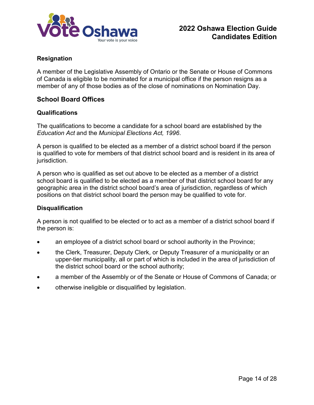

### <span id="page-13-0"></span>**Resignation**

A member of the Legislative Assembly of Ontario or the Senate or House of Commons of Canada is eligible to be nominated for a municipal office if the person resigns as a member of any of those bodies as of the close of nominations on Nomination Day.

### <span id="page-13-1"></span>**School Board Offices**

#### <span id="page-13-2"></span>**Qualifications**

The qualifications to become a candidate for a school board are established by the *Education Act* and the *Municipal Elections Act, 1996*.

A person is qualified to be elected as a member of a district school board if the person is qualified to vote for members of that district school board and is resident in its area of jurisdiction.

A person who is qualified as set out above to be elected as a member of a district school board is qualified to be elected as a member of that district school board for any geographic area in the district school board's area of jurisdiction, regardless of which positions on that district school board the person may be qualified to vote for.

#### <span id="page-13-3"></span>**Disqualification**

A person is not qualified to be elected or to act as a member of a district school board if the person is:

- an employee of a district school board or school authority in the Province;
- the Clerk, Treasurer, Deputy Clerk, or Deputy Treasurer of a municipality or an upper-tier municipality, all or part of which is included in the area of jurisdiction of the district school board or the school authority;
- a member of the Assembly or of the Senate or House of Commons of Canada; or
- otherwise ineligible or disqualified by legislation.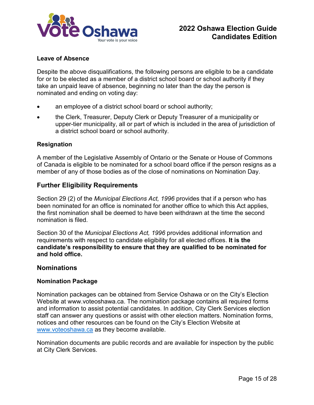

### <span id="page-14-0"></span>**Leave of Absence**

Despite the above disqualifications, the following persons are eligible to be a candidate for or to be elected as a member of a district school board or school authority if they take an unpaid leave of absence, beginning no later than the day the person is nominated and ending on voting day:

- an employee of a district school board or school authority;
- the Clerk, Treasurer, Deputy Clerk or Deputy Treasurer of a municipality or upper-tier municipality, all or part of which is included in the area of jurisdiction of a district school board or school authority.

#### <span id="page-14-1"></span>**Resignation**

A member of the Legislative Assembly of Ontario or the Senate or House of Commons of Canada is eligible to be nominated for a school board office if the person resigns as a member of any of those bodies as of the close of nominations on Nomination Day.

### <span id="page-14-2"></span>**Further Eligibility Requirements**

Section 29 (2) of the *Municipal Elections Act, 1996* provides that if a person who has been nominated for an office is nominated for another office to which this Act applies, the first nomination shall be deemed to have been withdrawn at the time the second nomination is filed.

Section 30 of the *Municipal Elections Act, 1996* provides additional information and requirements with respect to candidate eligibility for all elected offices. **It is the candidate's responsibility to ensure that they are qualified to be nominated for and hold office.**

### <span id="page-14-3"></span>**Nominations**

#### <span id="page-14-4"></span>**Nomination Package**

Nomination packages can be obtained from Service Oshawa or on the City's Election Website at www.voteoshawa.ca. The nomination package contains all required forms and information to assist potential candidates. In addition, City Clerk Services election staff can answer any questions or assist with other election matters. Nomination forms, notices and other resources can be found on the City's Election Website at [www.voteoshawa.ca](http://www.oshawa.ca/election) as they become available.

Nomination documents are public records and are available for inspection by the public at City Clerk Services.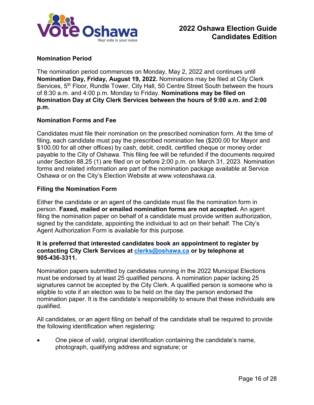

### <span id="page-15-0"></span>**Nomination Period**

The nomination period commences on Monday, May 2, 2022 and continues until **Nomination Day, Friday, August 19, 2022.** Nominations may be filed at City Clerk Services, 5<sup>th</sup> Floor, Rundle Tower, City Hall, 50 Centre Street South between the hours of 8:30 a.m. and 4:00 p.m. Monday to Friday. **Nominations may be filed on Nomination Day at City Clerk Services between the hours of 9:00 a.m. and 2:00 p.m.** 

### <span id="page-15-1"></span>**Nomination Forms and Fee**

Candidates must file their nomination on the prescribed nomination form. At the time of filing, each candidate must pay the prescribed nomination fee (\$200.00 for Mayor and \$100.00 for all other offices) by cash, debit, credit, certified cheque or money order payable to the City of Oshawa. This filing fee will be refunded if the documents required under Section 88.25 (1) are filed on or before 2:00 p.m. on March 31, 2023. Nomination forms and related information are part of the nomination package available at Service Oshawa or on the City's Election Website at www.voteoshawa.ca.

#### <span id="page-15-2"></span>**Filing the Nomination Form**

Either the candidate or an agent of the candidate must file the nomination form in person. **Faxed, mailed or emailed nomination forms are not accepted.** An agent filing the nomination paper on behalf of a candidate must provide written authorization, signed by the candidate, appointing the individual to act on their behalf. The City's Agent Authorization Form is available for this purpose.

#### **It is preferred that interested candidates book an appointment to register by contacting City Clerk Services at [clerks@oshawa.ca](mailto:clerks@oshawa.ca) or by telephone at 905-436-3311.**

Nomination papers submitted by candidates running in the 2022 Municipal Elections must be endorsed by at least 25 qualified persons. A nomination paper lacking 25 signatures cannot be accepted by the City Clerk. A qualified person is someone who is eligible to vote if an election was to be held on the day the person endorsed the nomination paper. It is the candidate's responsibility to ensure that these individuals are qualified.

All candidates, or an agent filing on behalf of the candidate shall be required to provide the following identification when registering:

• One piece of valid, original identification containing the candidate's name, photograph, qualifying address and signature; or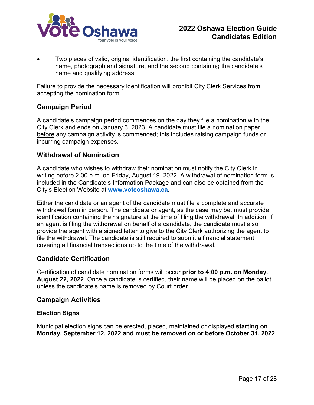

• Two pieces of valid, original identification, the first containing the candidate's name, photograph and signature, and the second containing the candidate's name and qualifying address.

Failure to provide the necessary identification will prohibit City Clerk Services from accepting the nomination form.

## <span id="page-16-0"></span>**Campaign Period**

A candidate's campaign period commences on the day they file a nomination with the City Clerk and ends on January 3, 2023. A candidate must file a nomination paper before any campaign activity is commenced; this includes raising campaign funds or incurring campaign expenses.

## <span id="page-16-1"></span>**Withdrawal of Nomination**

A candidate who wishes to withdraw their nomination must notify the City Clerk in writing before 2:00 p.m. on Friday, August 19, 2022. A withdrawal of nomination form is included in the Candidate's Information Package and can also be obtained from the City's Election Website at **[www.voteoshawa.ca](http://www.oshawa.ca/election)**.

Either the candidate or an agent of the candidate must file a complete and accurate withdrawal form in person. The candidate or agent, as the case may be, must provide identification containing their signature at the time of filing the withdrawal. In addition, if an agent is filing the withdrawal on behalf of a candidate, the candidate must also provide the agent with a signed letter to give to the City Clerk authorizing the agent to file the withdrawal. The candidate is still required to submit a financial statement covering all financial transactions up to the time of the withdrawal.

## <span id="page-16-2"></span>**Candidate Certification**

Certification of candidate nomination forms will occur **prior to 4:00 p.m. on Monday, August 22, 2022**. Once a candidate is certified, their name will be placed on the ballot unless the candidate's name is removed by Court order.

### <span id="page-16-3"></span>**Campaign Activities**

### <span id="page-16-4"></span>**Election Signs**

Municipal election signs can be erected, placed, maintained or displayed **starting on Monday, September 12, 2022 and must be removed on or before October 31, 2022**.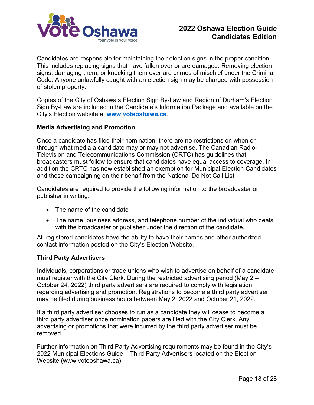

Candidates are responsible for maintaining their election signs in the proper condition. This includes replacing signs that have fallen over or are damaged. Removing election signs, damaging them, or knocking them over are crimes of mischief under the Criminal Code. Anyone unlawfully caught with an election sign may be charged with possession of stolen property.

Copies of the City of Oshawa's Election Sign By-Law and Region of Durham's Election Sign By-Law are included in the Candidate's Information Package and available on the City's Election website at **[www.voteoshawa.ca](http://www.oshawa.ca/election)**.

### <span id="page-17-0"></span>**Media Advertising and Promotion**

Once a candidate has filed their nomination, there are no restrictions on when or through what media a candidate may or may not advertise. The Canadian Radio-Television and Telecommunications Commission (CRTC) has guidelines that broadcasters must follow to ensure that candidates have equal access to coverage. In addition the CRTC has now established an exemption for Municipal Election Candidates and those campaigning on their behalf from the National Do Not Call List.

Candidates are required to provide the following information to the broadcaster or publisher in writing:

- The name of the candidate
- The name, business address, and telephone number of the individual who deals with the broadcaster or publisher under the direction of the candidate.

All registered candidates have the ability to have their names and other authorized contact information posted on the City's Election Website.

#### <span id="page-17-1"></span>**Third Party Advertisers**

Individuals, corporations or trade unions who wish to advertise on behalf of a candidate must register with the City Clerk. During the restricted advertising period (May 2 – October 24, 2022) third party advertisers are required to comply with legislation regarding advertising and promotion. Registrations to become a third party advertiser may be filed during business hours between May 2, 2022 and October 21, 2022.

If a third party advertiser chooses to run as a candidate they will cease to become a third party advertiser once nomination papers are filed with the City Clerk. Any advertising or promotions that were incurred by the third party advertiser must be removed.

Further information on Third Party Advertising requirements may be found in the City's 2022 Municipal Elections Guide – Third Party Advertisers located on the Election Website (www.voteoshawa.ca).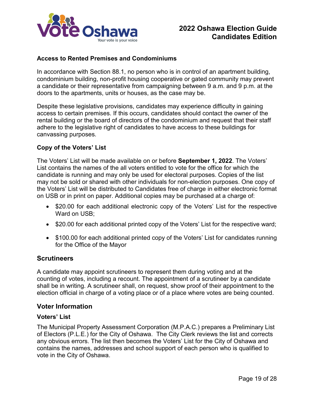

### <span id="page-18-0"></span>**Access to Rented Premises and Condominiums**

In accordance with Section 88.1, no person who is in control of an apartment building, condominium building, non-profit housing cooperative or gated community may prevent a candidate or their representative from campaigning between 9 a.m. and 9 p.m. at the doors to the apartments, units or houses, as the case may be.

Despite these legislative provisions, candidates may experience difficulty in gaining access to certain premises. If this occurs, candidates should contact the owner of the rental building or the board of directors of the condominium and request that their staff adhere to the legislative right of candidates to have access to these buildings for canvassing purposes.

### <span id="page-18-1"></span>**Copy of the Voters' List**

The Voters' List will be made available on or before **September 1, 2022**. The Voters' List contains the names of the all voters entitled to vote for the office for which the candidate is running and may only be used for electoral purposes. Copies of the list may not be sold or shared with other individuals for non-election purposes. One copy of the Voters' List will be distributed to Candidates free of charge in either electronic format on USB or in print on paper. Additional copies may be purchased at a charge of:

- \$20.00 for each additional electronic copy of the Voters' List for the respective Ward on USB;
- \$20.00 for each additional printed copy of the Voters' List for the respective ward;
- \$100.00 for each additional printed copy of the Voters' List for candidates running for the Office of the Mayor

### <span id="page-18-2"></span>**Scrutineers**

A candidate may appoint scrutineers to represent them during voting and at the counting of votes, including a recount. The appointment of a scrutineer by a candidate shall be in writing. A scrutineer shall, on request, show proof of their appointment to the election official in charge of a voting place or of a place where votes are being counted.

### <span id="page-18-3"></span>**Voter Information**

### <span id="page-18-4"></span>**Voters' List**

The Municipal Property Assessment Corporation (M.P.A.C.) prepares a Preliminary List of Electors (P.L.E.) for the City of Oshawa. The City Clerk reviews the list and corrects any obvious errors. The list then becomes the Voters' List for the City of Oshawa and contains the names, addresses and school support of each person who is qualified to vote in the City of Oshawa.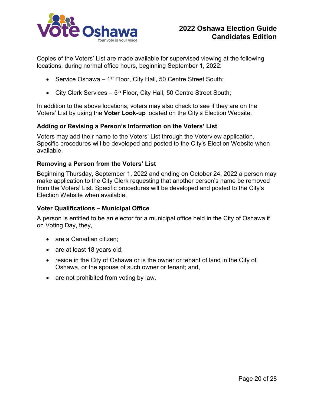

Copies of the Voters' List are made available for supervised viewing at the following locations, during normal office hours, beginning September 1, 2022:

- Service Oshawa  $-1$ <sup>st</sup> Floor, City Hall, 50 Centre Street South;
- City Clerk Services  $-5<sup>th</sup>$  Floor, City Hall, 50 Centre Street South;

In addition to the above locations, voters may also check to see if they are on the Voters' List by using the **Voter Look-up** located on the City's Election Website.

### <span id="page-19-0"></span>**Adding or Revising a Person's Information on the Voters' List**

Voters may add their name to the Voters' List through the Voterview application. Specific procedures will be developed and posted to the City's Election Website when available.

#### <span id="page-19-1"></span>**Removing a Person from the Voters' List**

Beginning Thursday, September 1, 2022 and ending on October 24, 2022 a person may make application to the City Clerk requesting that another person's name be removed from the Voters' List. Specific procedures will be developed and posted to the City's Election Website when available.

#### <span id="page-19-2"></span>**Voter Qualifications – Municipal Office**

A person is entitled to be an elector for a municipal office held in the City of Oshawa if on Voting Day, they,

- are a Canadian citizen;
- are at least 18 years old;
- reside in the City of Oshawa or is the owner or tenant of land in the City of Oshawa, or the spouse of such owner or tenant; and,
- are not prohibited from voting by law.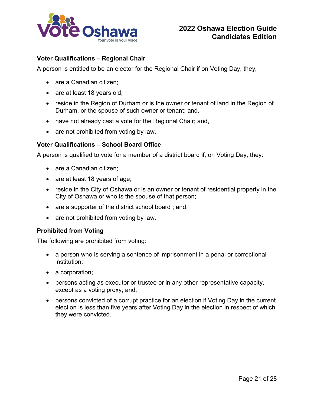

### <span id="page-20-0"></span>**Voter Qualifications – Regional Chair**

A person is entitled to be an elector for the Regional Chair if on Voting Day, they,

- are a Canadian citizen:
- are at least 18 years old;
- reside in the Region of Durham or is the owner or tenant of land in the Region of Durham, or the spouse of such owner or tenant; and,
- have not already cast a vote for the Regional Chair; and,
- are not prohibited from voting by law.

### <span id="page-20-1"></span>**Voter Qualifications – School Board Office**

A person is qualified to vote for a member of a district board if, on Voting Day, they:

- are a Canadian citizen;
- are at least 18 years of age;
- reside in the City of Oshawa or is an owner or tenant of residential property in the City of Oshawa or who is the spouse of that person;
- are a supporter of the district school board; and,
- are not prohibited from voting by law.

### <span id="page-20-2"></span>**Prohibited from Voting**

The following are prohibited from voting:

- a person who is serving a sentence of imprisonment in a penal or correctional institution;
- a corporation;
- persons acting as executor or trustee or in any other representative capacity, except as a voting proxy; and,
- persons convicted of a corrupt practice for an election if Voting Day in the current election is less than five years after Voting Day in the election in respect of which they were convicted.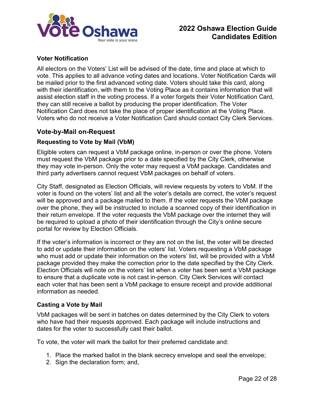

### <span id="page-21-0"></span>**Voter Notification**

All electors on the Voters' List will be advised of the date, time and place at which to vote. This applies to all advance voting dates and locations. Voter Notification Cards will be mailed prior to the first advanced voting date. Voters should take this card, along with their identification, with them to the Voting Place as it contains information that will assist election staff in the voting process. If a voter forgets their Voter Notification Card*,* they can still receive a ballot by producing the proper identification. The Voter Notification Card does not take the place of proper identification at the Voting Place. Voters who do not receive a Voter Notification Card should contact City Clerk Services.

### <span id="page-21-1"></span>**Vote-by-Mail on-Request**

#### <span id="page-21-2"></span>**Requesting to Vote by Mail (VbM)**

Eligible voters can request a VbM package online, in-person or over the phone. Voters must request the VbM package prior to a date specified by the City Clerk, otherwise they may vote in-person. Only the voter may request a VbM package. Candidates and third party advertisers cannot request VbM packages on behalf of voters.

City Staff, designated as Election Officials, will review requests by voters to VbM. If the voter is found on the voters' list and all the voter's details are correct, the voter's request will be approved and a package mailed to them. If the voter requests the VbM package over the phone, they will be instructed to include a scanned copy of their identification in their return envelope. If the voter requests the VbM package over the internet they will be required to upload a photo of their identification through the City's online secure portal for review by Election Officials.

If the voter's information is incorrect or they are not on the list, the voter will be directed to add or update their information on the voters' list. Voters requesting a VbM package who must add or update their information on the voters' list, will be provided with a VbM package provided they make the correction prior to the date specified by the City Clerk. Election Officials will note on the voters' list when a voter has been sent a VbM package to ensure that a duplicate vote is not cast in-person. City Clerk Services will contact each voter that has been sent a VbM package to ensure receipt and provide additional information as needed.

### <span id="page-21-3"></span>**Casting a Vote by Mail**

VbM packages will be sent in batches on dates determined by the City Clerk to voters who have had their requests approved. Each package will include instructions and dates for the voter to successfully cast their ballot.

To vote, the voter will mark the ballot for their preferred candidate and:

- 1. Place the marked ballot in the blank secrecy envelope and seal the envelope;
- 2. Sign the declaration form; and,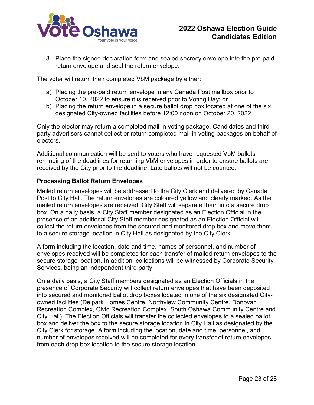

3. Place the signed declaration form and sealed secrecy envelope into the pre-paid return envelope and seal the return envelope.

The voter will return their completed VbM package by either:

- a) Placing the pre-paid return envelope in any Canada Post mailbox prior to October 10, 2022 to ensure it is received prior to Voting Day; or
- b) Placing the return envelope in a secure ballot drop box located at one of the six designated City-owned facilities before 12:00 noon on October 20, 2022.

Only the elector may return a completed mail-in voting package. Candidates and third party advertisers cannot collect or return completed mail-in voting packages on behalf of electors.

Additional communication will be sent to voters who have requested VbM ballots reminding of the deadlines for returning VbM envelopes in order to ensure ballots are received by the City prior to the deadline. Late ballots will not be counted.

### <span id="page-22-0"></span>**Processing Ballot Return Envelopes**

Mailed return envelopes will be addressed to the City Clerk and delivered by Canada Post to City Hall. The return envelopes are coloured yellow and clearly marked. As the mailed return envelopes are received, City Staff will separate them into a secure drop box. On a daily basis, a City Staff member designated as an Election Official in the presence of an additional City Staff member designated as an Election Official will collect the return envelopes from the secured and monitored drop box and move them to a secure storage location in City Hall as designated by the City Clerk.

A form including the location, date and time, names of personnel, and number of envelopes received will be completed for each transfer of mailed return envelopes to the secure storage location. In addition, collections will be witnessed by Corporate Security Services, being an independent third party.

On a daily basis, a City Staff members designated as an Election Officials in the presence of Corporate Security will collect return envelopes that have been deposited into secured and monitored ballot drop boxes located in one of the six designated Cityowned facilities (Delpark Homes Centre, Northview Community Centre, Donovan Recreation Complex, Civic Recreation Complex, South Oshawa Community Centre and City Hall). The Election Officials will transfer the collected envelopes to a sealed ballot box and deliver the box to the secure storage location in City Hall as designated by the City Clerk for storage. A form including the location, date and time, personnel, and number of envelopes received will be completed for every transfer of return envelopes from each drop box location to the secure storage location.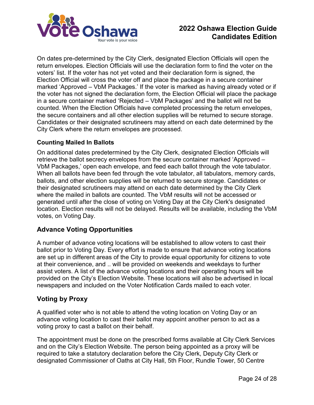

On dates pre-determined by the City Clerk, designated Election Officials will open the return envelopes. Election Officials will use the declaration form to find the voter on the voters' list. If the voter has not yet voted and their declaration form is signed, the Election Official will cross the voter off and place the package in a secure container marked 'Approved – VbM Packages.' If the voter is marked as having already voted or if the voter has not signed the declaration form, the Election Official will place the package in a secure container marked 'Rejected – VbM Packages' and the ballot will not be counted. When the Election Officials have completed processing the return envelopes, the secure containers and all other election supplies will be returned to secure storage. Candidates or their designated scrutineers may attend on each date determined by the City Clerk where the return envelopes are processed.

### <span id="page-23-0"></span>**Counting Mailed In Ballots**

On additional dates predetermined by the City Clerk, designated Election Officials will retrieve the ballot secrecy envelopes from the secure container marked 'Approved – VbM Packages,' open each envelope, and feed each ballot through the vote tabulator. When all ballots have been fed through the vote tabulator, all tabulators, memory cards, ballots, and other election supplies will be returned to secure storage. Candidates or their designated scrutineers may attend on each date determined by the City Clerk where the mailed in ballots are counted. The VbM results will not be accessed or generated until after the close of voting on Voting Day at the City Clerk's designated location. Election results will not be delayed. Results will be available, including the VbM votes, on Voting Day.

## <span id="page-23-1"></span>**Advance Voting Opportunities**

A number of advance voting locations will be established to allow voters to cast their ballot prior to Voting Day. Every effort is made to ensure that advance voting locations are set up in different areas of the City to provide equal opportunity for citizens to vote at their convenience, and .. will be provided on weekends and weekdays to further assist voters. A list of the advance voting locations and their operating hours will be provided on the City's Election Website. These locations will also be advertised in local newspapers and included on the Voter Notification Cards mailed to each voter.

## <span id="page-23-2"></span>**Voting by Proxy**

A qualified voter who is not able to attend the voting location on Voting Day or an advance voting location to cast their ballot may appoint another person to act as a voting proxy to cast a ballot on their behalf.

The appointment must be done on the prescribed forms available at City Clerk Services and on the City's Election Website. The person being appointed as a proxy will be required to take a statutory declaration before the City Clerk, Deputy City Clerk or designated Commissioner of Oaths at City Hall, 5th Floor, Rundle Tower, 50 Centre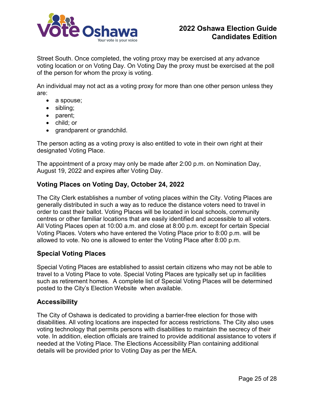

Street South. Once completed, the voting proxy may be exercised at any advance voting location or on Voting Day. On Voting Day the proxy must be exercised at the poll of the person for whom the proxy is voting.

An individual may not act as a voting proxy for more than one other person unless they are:

- a spouse;
- sibling;
- parent;
- child; or
- grandparent or grandchild.

The person acting as a voting proxy is also entitled to vote in their own right at their designated Voting Place.

The appointment of a proxy may only be made after 2:00 p.m. on Nomination Day, August 19, 2022 and expires after Voting Day.

## <span id="page-24-0"></span>**Voting Places on Voting Day, October 24, 2022**

The City Clerk establishes a number of voting places within the City. Voting Places are generally distributed in such a way as to reduce the distance voters need to travel in order to cast their ballot. Voting Places will be located in local schools, community centres or other familiar locations that are easily identified and accessible to all voters. All Voting Places open at 10:00 a.m. and close at 8:00 p.m. except for certain Special Voting Places. Voters who have entered the Voting Place prior to 8:00 p.m. will be allowed to vote. No one is allowed to enter the Voting Place after 8:00 p.m.

### <span id="page-24-1"></span>**Special Voting Places**

Special Voting Places are established to assist certain citizens who may not be able to travel to a Voting Place to vote. Special Voting Places are typically set up in facilities such as retirement homes. A complete list of Special Voting Places will be determined posted to the City's Election Website when available.

## <span id="page-24-2"></span>**Accessibility**

The City of Oshawa is dedicated to providing a barrier-free election for those with disabilities. All voting locations are inspected for access restrictions. The City also uses voting technology that permits persons with disabilities to maintain the secrecy of their vote. In addition, election officials are trained to provide additional assistance to voters if needed at the Voting Place. The Elections Accessibility Plan containing additional details will be provided prior to Voting Day as per the MEA.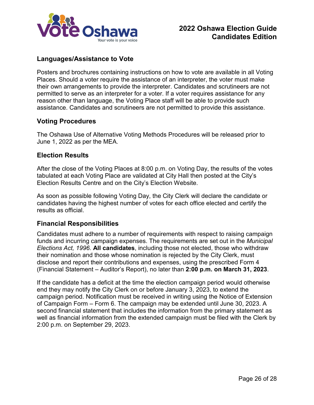

# <span id="page-25-0"></span>**Languages/Assistance to Vote**

Posters and brochures containing instructions on how to vote are available in all Voting Places. Should a voter require the assistance of an interpreter, the voter must make their own arrangements to provide the interpreter. Candidates and scrutineers are not permitted to serve as an interpreter for a voter. If a voter requires assistance for any reason other than language, the Voting Place staff will be able to provide such assistance. Candidates and scrutineers are not permitted to provide this assistance.

### <span id="page-25-1"></span>**Voting Procedures**

The Oshawa Use of Alternative Voting Methods Procedures will be released prior to June 1, 2022 as per the MEA.

## <span id="page-25-2"></span>**Election Results**

After the close of the Voting Places at 8:00 p.m. on Voting Day, the results of the votes tabulated at each Voting Place are validated at City Hall then posted at the City's Election Results Centre and on the City's Election Website.

As soon as possible following Voting Day, the City Clerk will declare the candidate or candidates having the highest number of votes for each office elected and certify the results as official.

## <span id="page-25-3"></span>**Financial Responsibilities**

Candidates must adhere to a number of requirements with respect to raising campaign funds and incurring campaign expenses. The requirements are set out in the *Municipal Elections Act, 1996.* **All candidates**, including those not elected, those who withdraw their nomination and those whose nomination is rejected by the City Clerk, must disclose and report their contributions and expenses, using the prescribed Form 4 (Financial Statement – Auditor's Report), no later than **2:00 p.m. on March 31, 2023**.

If the candidate has a deficit at the time the election campaign period would otherwise end they may notify the City Clerk on or before January 3, 2023, to extend the campaign period. Notification must be received in writing using the Notice of Extension of Campaign Form – Form 6. The campaign may be extended until June 30, 2023. A second financial statement that includes the information from the primary statement as well as financial information from the extended campaign must be filed with the Clerk by 2:00 p.m. on September 29, 2023.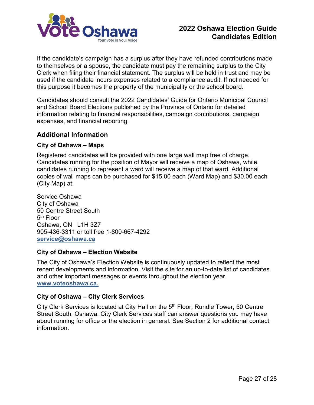

If the candidate's campaign has a surplus after they have refunded contributions made to themselves or a spouse, the candidate must pay the remaining surplus to the City Clerk when filing their financial statement. The surplus will be held in trust and may be used if the candidate incurs expenses related to a compliance audit. If not needed for this purpose it becomes the property of the municipality or the school board.

Candidates should consult the 2022 Candidates' Guide for Ontario Municipal Council and School Board Elections published by the Province of Ontario for detailed information relating to financial responsibilities, campaign contributions, campaign expenses, and financial reporting.

### <span id="page-26-0"></span>**Additional Information**

### <span id="page-26-1"></span>**City of Oshawa – Maps**

Registered candidates will be provided with one large wall map free of charge. Candidates running for the position of Mayor will receive a map of Oshawa, while candidates running to represent a ward will receive a map of that ward. Additional copies of wall maps can be purchased for \$15.00 each (Ward Map) and \$30.00 each (City Map) at:

Service Oshawa City of Oshawa 50 Centre Street South 5th Floor Oshawa, ON L1H 3Z7 905-436-3311 or toll free 1-800-667-4292 **[service@oshawa.ca](mailto:service@oshawa.ca)**

### <span id="page-26-2"></span>**City of Oshawa – Election Website**

The City of Oshawa's Election Website is continuously updated to reflect the most recent developments and information. Visit the site for an up-to-date list of candidates and other important messages or events throughout the election year. **[www.voteoshawa.ca.](https://www.oshawa.ca/vote-oshawa.asp)**

### <span id="page-26-3"></span>**City of Oshawa – City Clerk Services**

City Clerk Services is located at City Hall on the 5th Floor, Rundle Tower, 50 Centre Street South, Oshawa. City Clerk Services staff can answer questions you may have about running for office or the election in general. See Section 2 for additional contact information.